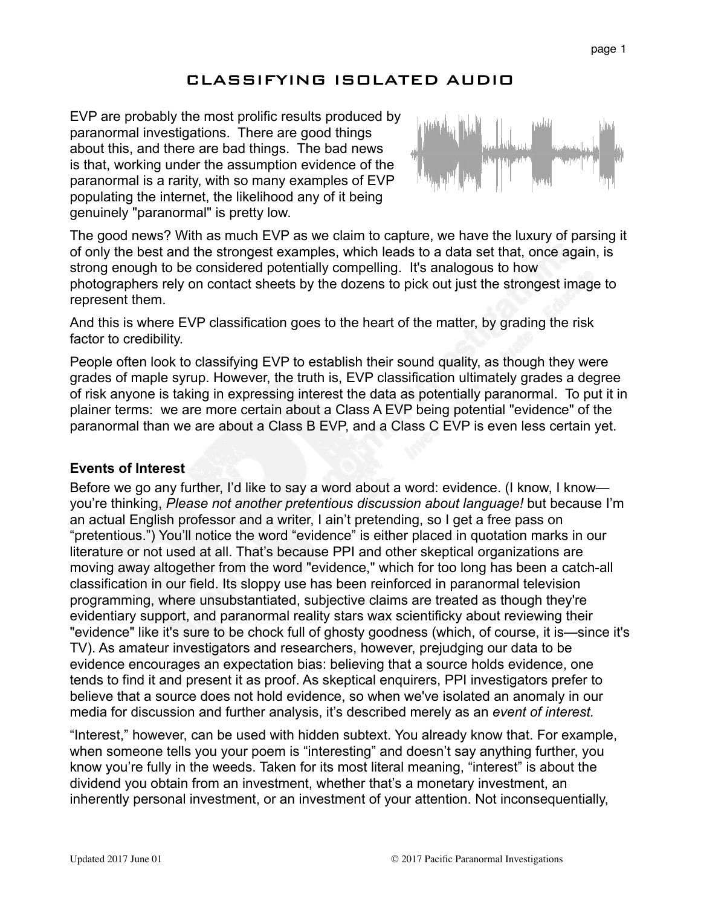# CLASSIFYING ISOLATED AUDIO

EVP are probably the most prolific results produced by paranormal investigations. There are good things about this, and there are bad things. The bad news is that, working under the assumption evidence of the paranormal is a rarity, with so many examples of EVP populating the internet, the likelihood any of it being genuinely "paranormal" is pretty low.



The good news? With as much EVP as we claim to capture, we have the luxury of parsing it of only the best and the strongest examples, which leads to a data set that, once again, is strong enough to be considered potentially compelling. It's analogous to how photographers rely on contact sheets by the dozens to pick out just the strongest image to represent them.

And this is where EVP classification goes to the heart of the matter, by grading the risk factor to credibility.

People often look to classifying EVP to establish their sound quality, as though they were grades of maple syrup. However, the truth is, EVP classification ultimately grades a degree of risk anyone is taking in expressing interest the data as potentially paranormal. To put it in plainer terms: we are more certain about a Class A EVP being potential "evidence" of the paranormal than we are about a Class B EVP, and a Class C EVP is even less certain yet.

#### **Events of Interest**

Before we go any further, I'd like to say a word about a word: evidence. (I know, I know you're thinking, *Please not another pretentious discussion about language!* but because I'm an actual English professor and a writer, I ain't pretending, so I get a free pass on "pretentious.") You'll notice the word "evidence" is either placed in quotation marks in our literature or not used at all. That's because PPI and other skeptical organizations are moving away altogether from the word "evidence," which for too long has been a catch-all classification in our field. Its sloppy use has been reinforced in paranormal television programming, where unsubstantiated, subjective claims are treated as though they're evidentiary support, and paranormal reality stars wax scientificky about reviewing their "evidence" like it's sure to be chock full of ghosty goodness (which, of course, it is—since it's TV). As amateur investigators and researchers, however, prejudging our data to be evidence encourages an expectation bias: believing that a source holds evidence, one tends to find it and present it as proof. As skeptical enquirers, PPI investigators prefer to believe that a source does not hold evidence, so when we've isolated an anomaly in our media for discussion and further analysis, it's described merely as an *event of interest.* 

"Interest," however, can be used with hidden subtext. You already know that. For example, when someone tells you your poem is "interesting" and doesn't say anything further, you know you're fully in the weeds. Taken for its most literal meaning, "interest" is about the dividend you obtain from an investment, whether that's a monetary investment, an inherently personal investment, or an investment of your attention. Not inconsequentially,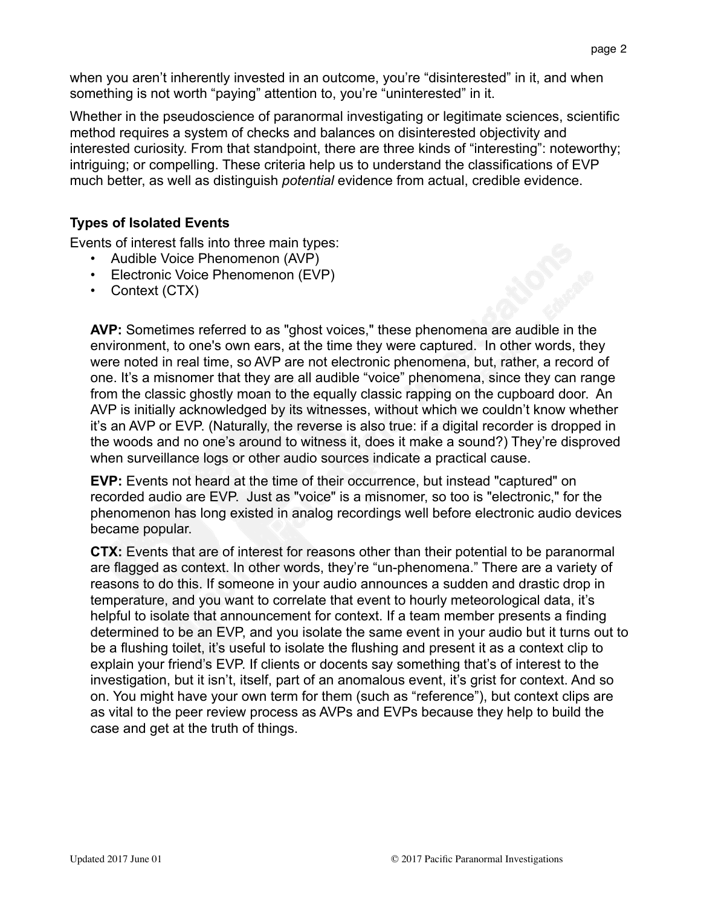when you aren't inherently invested in an outcome, you're "disinterested" in it, and when something is not worth "paying" attention to, you're "uninterested" in it.

Whether in the pseudoscience of paranormal investigating or legitimate sciences, scientific method requires a system of checks and balances on disinterested objectivity and interested curiosity. From that standpoint, there are three kinds of "interesting": noteworthy; intriguing; or compelling. These criteria help us to understand the classifications of EVP much better, as well as distinguish *potential* evidence from actual, credible evidence.

## **Types of Isolated Events**

Events of interest falls into three main types:

- Audible Voice Phenomenon (AVP)
- Electronic Voice Phenomenon (EVP)
- Context (CTX)

**AVP:** Sometimes referred to as "ghost voices," these phenomena are audible in the environment, to one's own ears, at the time they were captured. In other words, they were noted in real time, so AVP are not electronic phenomena, but, rather, a record of one. It's a misnomer that they are all audible "voice" phenomena, since they can range from the classic ghostly moan to the equally classic rapping on the cupboard door. An AVP is initially acknowledged by its witnesses, without which we couldn't know whether it's an AVP or EVP. (Naturally, the reverse is also true: if a digital recorder is dropped in the woods and no one's around to witness it, does it make a sound?) They're disproved when surveillance logs or other audio sources indicate a practical cause.

**EVP:** Events not heard at the time of their occurrence, but instead "captured" on recorded audio are EVP. Just as "voice" is a misnomer, so too is "electronic," for the phenomenon has long existed in analog recordings well before electronic audio devices became popular.

**CTX:** Events that are of interest for reasons other than their potential to be paranormal are flagged as context. In other words, they're "un-phenomena." There are a variety of reasons to do this. If someone in your audio announces a sudden and drastic drop in temperature, and you want to correlate that event to hourly meteorological data, it's helpful to isolate that announcement for context. If a team member presents a finding determined to be an EVP, and you isolate the same event in your audio but it turns out to be a flushing toilet, it's useful to isolate the flushing and present it as a context clip to explain your friend's EVP. If clients or docents say something that's of interest to the investigation, but it isn't, itself, part of an anomalous event, it's grist for context. And so on. You might have your own term for them (such as "reference"), but context clips are as vital to the peer review process as AVPs and EVPs because they help to build the case and get at the truth of things.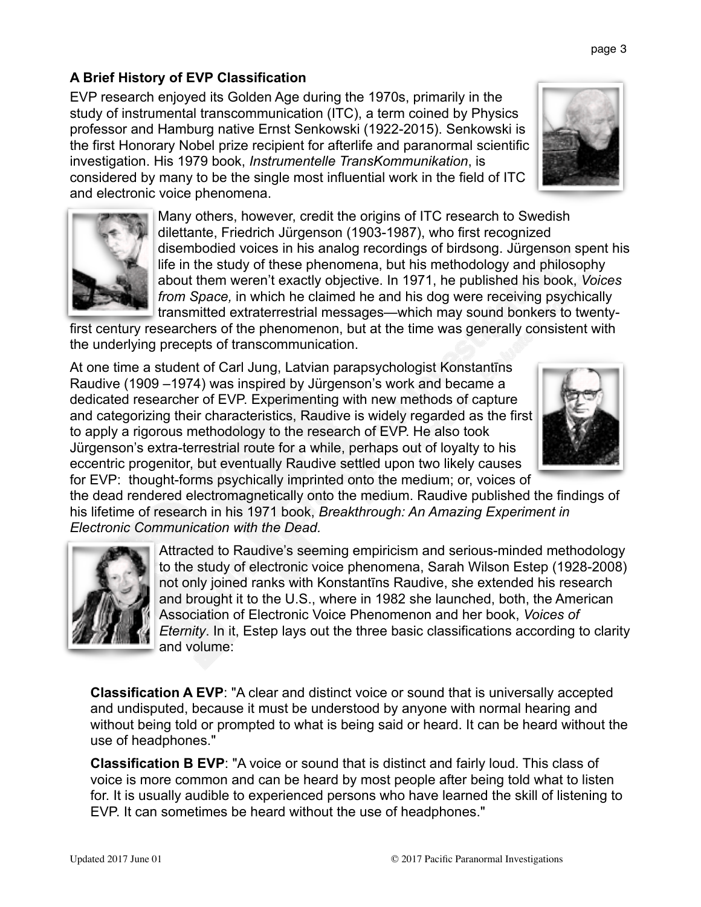## **A Brief History of EVP Classification**

EVP research enjoyed its Golden Age during the 1970s, primarily in the study of instrumental transcommunication (ITC), a term coined by Physics professor and Hamburg native Ernst Senkowski (1922-2015). Senkowski is the first Honorary Nobel prize recipient for afterlife and paranormal scientific investigation. His 1979 book, *Instrumentelle TransKommunikation*, is considered by many to be the single most influential work in the field of ITC and electronic voice phenomena.

> Many others, however, credit the origins of ITC research to Swedish dilettante, Friedrich Jürgenson (1903-1987), who first recognized disembodied voices in his analog recordings of birdsong. Jürgenson spent his life in the study of these phenomena, but his methodology and philosophy about them weren't exactly objective. In 1971, he published his book, *Voices from Space,* in which he claimed he and his dog were receiving psychically transmitted extraterrestrial messages—which may sound bonkers to twenty-

first century researchers of the phenomenon, but at the time was generally consistent with the underlying precepts of transcommunication.

At one time a student of Carl Jung, Latvian parapsychologist Konstantīns Raudive (1909 –1974) was inspired by Jürgenson's work and became a dedicated researcher of EVP. Experimenting with new methods of capture and categorizing their characteristics, Raudive is widely regarded as the first to apply a rigorous methodology to the research of EVP. He also took Jürgenson's extra-terrestrial route for a while, perhaps out of loyalty to his eccentric progenitor, but eventually Raudive settled upon two likely causes for EVP: thought-forms psychically imprinted onto the medium; or, voices of

the dead rendered electromagnetically onto the medium. Raudive published the findings of his lifetime of research in his 1971 book, *Breakthrough: An Amazing Experiment in Electronic Communication with the Dead.* 

> Attracted to Raudive's seeming empiricism and serious-minded methodology to the study of electronic voice phenomena, Sarah Wilson Estep (1928-2008) not only joined ranks with Konstantīns Raudive, she extended his research and brought it to the U.S., where in 1982 she launched, both, the American Association of Electronic Voice Phenomenon and her book, *Voices of Eternity*. In it, Estep lays out the three basic classifications according to clarity and volume:

**Classification A EVP**: "A clear and distinct voice or sound that is universally accepted and undisputed, because it must be understood by anyone with normal hearing and without being told or prompted to what is being said or heard. It can be heard without the use of headphones."

**Classification B EVP**: "A voice or sound that is distinct and fairly loud. This class of voice is more common and can be heard by most people after being told what to listen for. It is usually audible to experienced persons who have learned the skill of listening to EVP. It can sometimes be heard without the use of headphones."





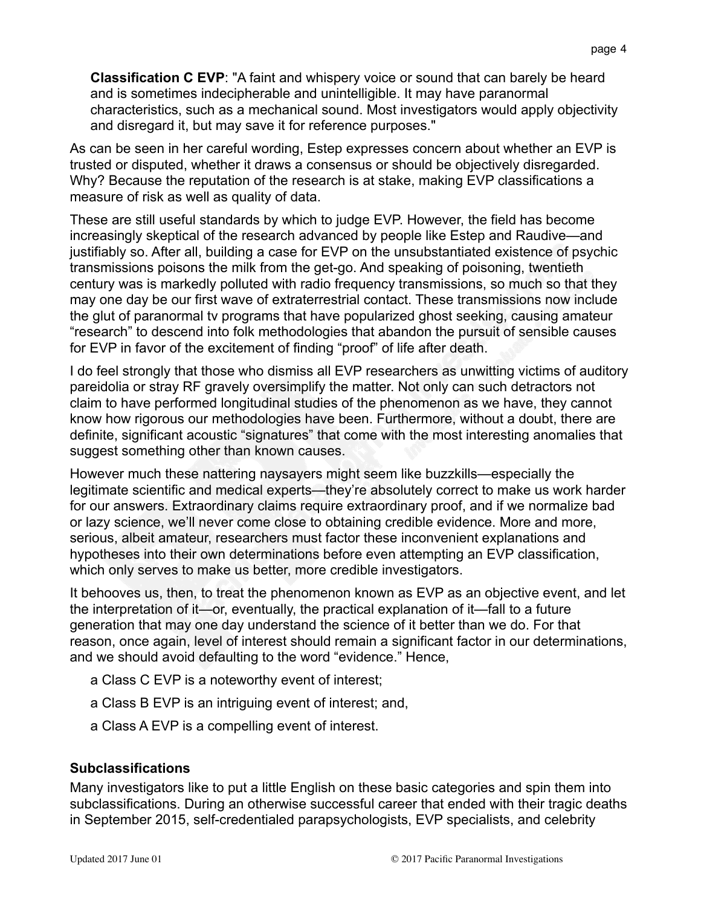**Classification C EVP**: "A faint and whispery voice or sound that can barely be heard and is sometimes indecipherable and unintelligible. It may have paranormal characteristics, such as a mechanical sound. Most investigators would apply objectivity and disregard it, but may save it for reference purposes."

As can be seen in her careful wording, Estep expresses concern about whether an EVP is trusted or disputed, whether it draws a consensus or should be objectively disregarded. Why? Because the reputation of the research is at stake, making EVP classifications a measure of risk as well as quality of data.

These are still useful standards by which to judge EVP. However, the field has become increasingly skeptical of the research advanced by people like Estep and Raudive—and justifiably so. After all, building a case for EVP on the unsubstantiated existence of psychic transmissions poisons the milk from the get-go. And speaking of poisoning, twentieth century was is markedly polluted with radio frequency transmissions, so much so that they may one day be our first wave of extraterrestrial contact. These transmissions now include the glut of paranormal tv programs that have popularized ghost seeking, causing amateur "research" to descend into folk methodologies that abandon the pursuit of sensible causes for EVP in favor of the excitement of finding "proof" of life after death.

I do feel strongly that those who dismiss all EVP researchers as unwitting victims of auditory pareidolia or stray RF gravely oversimplify the matter. Not only can such detractors not claim to have performed longitudinal studies of the phenomenon as we have, they cannot know how rigorous our methodologies have been. Furthermore, without a doubt, there are definite, significant acoustic "signatures" that come with the most interesting anomalies that suggest something other than known causes.

However much these nattering naysayers might seem like buzzkills—especially the legitimate scientific and medical experts—they're absolutely correct to make us work harder for our answers. Extraordinary claims require extraordinary proof, and if we normalize bad or lazy science, we'll never come close to obtaining credible evidence. More and more, serious, albeit amateur, researchers must factor these inconvenient explanations and hypotheses into their own determinations before even attempting an EVP classification, which only serves to make us better, more credible investigators.

It behooves us, then, to treat the phenomenon known as EVP as an objective event, and let the interpretation of it—or, eventually, the practical explanation of it—fall to a future generation that may one day understand the science of it better than we do. For that reason, once again, level of interest should remain a significant factor in our determinations, and we should avoid defaulting to the word "evidence." Hence,

- a Class C EVP is a noteworthy event of interest;
- a Class B EVP is an intriguing event of interest; and,
- a Class A EVP is a compelling event of interest.

#### **Subclassifications**

Many investigators like to put a little English on these basic categories and spin them into subclassifications. During an otherwise successful career that ended with their tragic deaths in September 2015, self-credentialed parapsychologists, EVP specialists, and celebrity